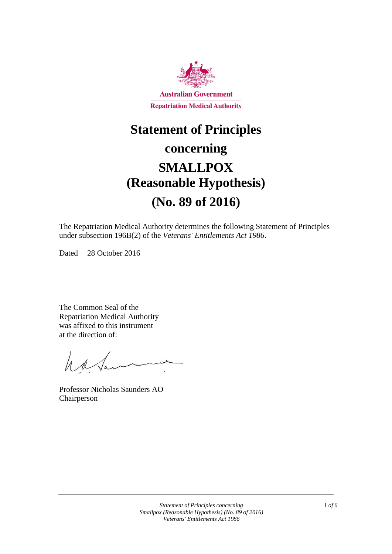

# **Statement of Principles**

# **concerning SMALLPOX (Reasonable Hypothesis) (No. 89 of 2016)**

The Repatriation Medical Authority determines the following Statement of Principles under subsection 196B(2) of the *Veterans' Entitlements Act 1986*.

Dated 28 October 2016

The Common Seal of the Repatriation Medical Authority was affixed to this instrument at the direction of:

have

Professor Nicholas Saunders AO Chairperson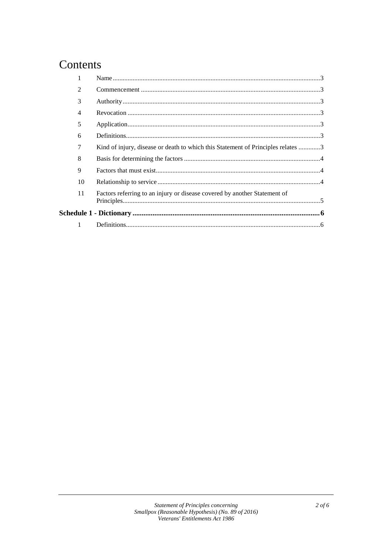# Contents

|  | $\mathfrak{D}$ |                                                                                  |  |
|--|----------------|----------------------------------------------------------------------------------|--|
|  | 3              |                                                                                  |  |
|  | 4              |                                                                                  |  |
|  | 5              |                                                                                  |  |
|  | 6              |                                                                                  |  |
|  | 7              | Kind of injury, disease or death to which this Statement of Principles relates 3 |  |
|  | 8              |                                                                                  |  |
|  | 9              |                                                                                  |  |
|  | 10             |                                                                                  |  |
|  | 11             | Factors referring to an injury or disease covered by another Statement of        |  |
|  |                |                                                                                  |  |
|  |                |                                                                                  |  |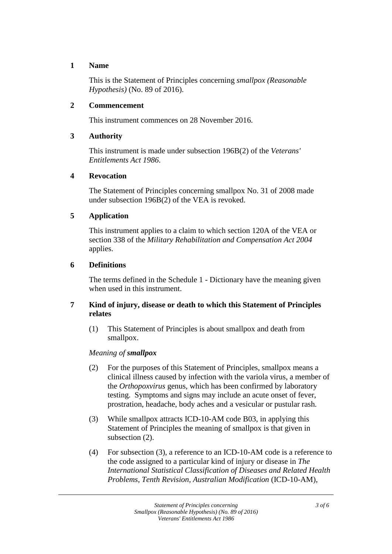### **1 Name**

This is the Statement of Principles concerning *smallpox (Reasonable Hypothesis)* (No. 89 of 2016).

### **2 Commencement**

This instrument commences on 28 November 2016.

### **3 Authority**

This instrument is made under subsection 196B(2) of the *Veterans' Entitlements Act 1986*.

#### **4 Revocation**

The Statement of Principles concerning smallpox No. 31 of 2008 made under subsection 196B(2) of the VEA is revoked.

## **5 Application**

This instrument applies to a claim to which section 120A of the VEA or section 338 of the *Military Rehabilitation and Compensation Act 2004* applies.

#### **6 Definitions**

The terms defined in the Schedule 1 - Dictionary have the meaning given when used in this instrument.

## **7 Kind of injury, disease or death to which this Statement of Principles relates**

(1) This Statement of Principles is about smallpox and death from smallpox.

## *Meaning of smallpox*

- (2) For the purposes of this Statement of Principles, smallpox means a clinical illness caused by infection with the variola virus, a member of the *Orthopoxvirus* genus, which has been confirmed by laboratory testing. Symptoms and signs may include an acute onset of fever, prostration, headache, body aches and a vesicular or pustular rash.
- (3) While smallpox attracts ICD-10-AM code B03, in applying this Statement of Principles the meaning of smallpox is that given in subsection (2).
- (4) For subsection (3), a reference to an ICD-10-AM code is a reference to the code assigned to a particular kind of injury or disease in *The International Statistical Classification of Diseases and Related Health Problems*, *Tenth Revision, Australian Modification* (ICD-10-AM),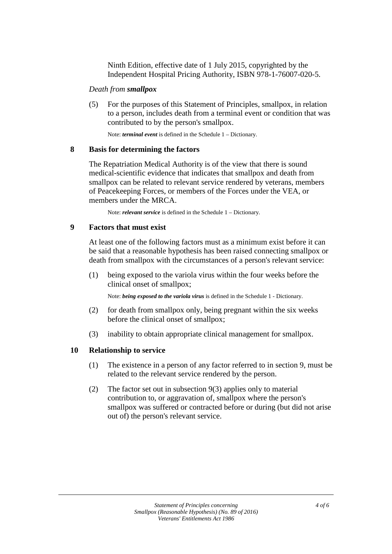Ninth Edition, effective date of 1 July 2015, copyrighted by the Independent Hospital Pricing Authority, ISBN 978-1-76007-020-5.

#### *Death from smallpox*

(5) For the purposes of this Statement of Principles, smallpox, in relation to a person, includes death from a terminal event or condition that was contributed to by the person's smallpox.

Note: *terminal event* is defined in the Schedule 1 – Dictionary.

#### **8 Basis for determining the factors**

The Repatriation Medical Authority is of the view that there is sound medical-scientific evidence that indicates that smallpox and death from smallpox can be related to relevant service rendered by veterans, members of Peacekeeping Forces, or members of the Forces under the VEA, or members under the MRCA.

Note: *relevant service* is defined in the Schedule 1 – Dictionary.

#### **9 Factors that must exist**

At least one of the following factors must as a minimum exist before it can be said that a reasonable hypothesis has been raised connecting smallpox or death from smallpox with the circumstances of a person's relevant service:

(1) being exposed to the variola virus within the four weeks before the clinical onset of smallpox;

Note: *being exposed to the variola virus* is defined in the Schedule 1 - Dictionary.

- (2) for death from smallpox only, being pregnant within the six weeks before the clinical onset of smallpox;
- (3) inability to obtain appropriate clinical management for smallpox.

#### **10 Relationship to service**

- (1) The existence in a person of any factor referred to in section 9, must be related to the relevant service rendered by the person.
- (2) The factor set out in subsection 9(3) applies only to material contribution to, or aggravation of, smallpox where the person's smallpox was suffered or contracted before or during (but did not arise out of) the person's relevant service.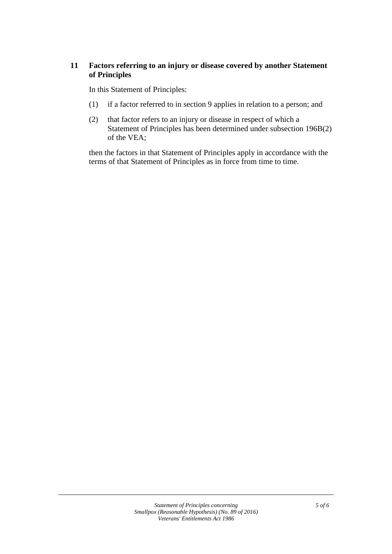# **11 Factors referring to an injury or disease covered by another Statement of Principles**

In this Statement of Principles:

- (1) if a factor referred to in section 9 applies in relation to a person; and
- (2) that factor refers to an injury or disease in respect of which a Statement of Principles has been determined under subsection 196B(2) of the VEA;

then the factors in that Statement of Principles apply in accordance with the terms of that Statement of Principles as in force from time to time.